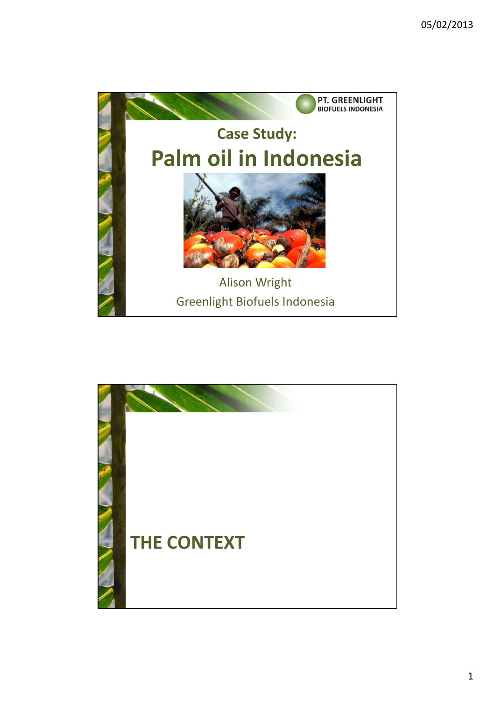

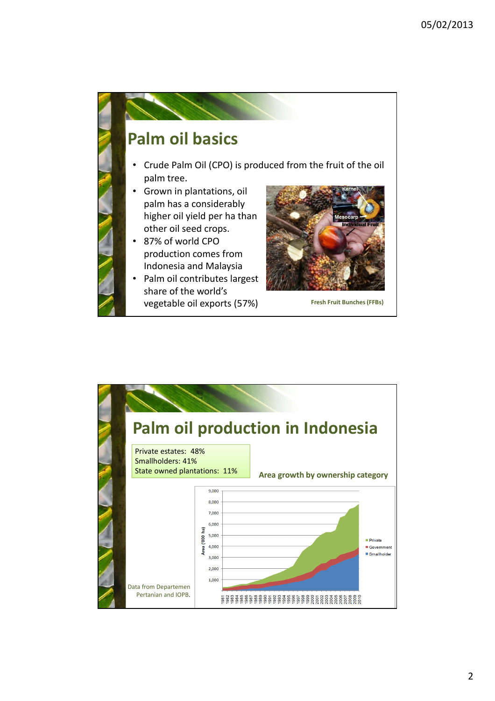

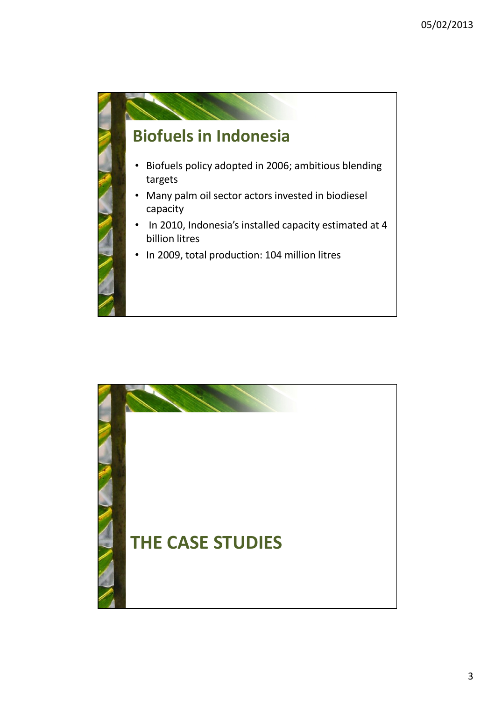

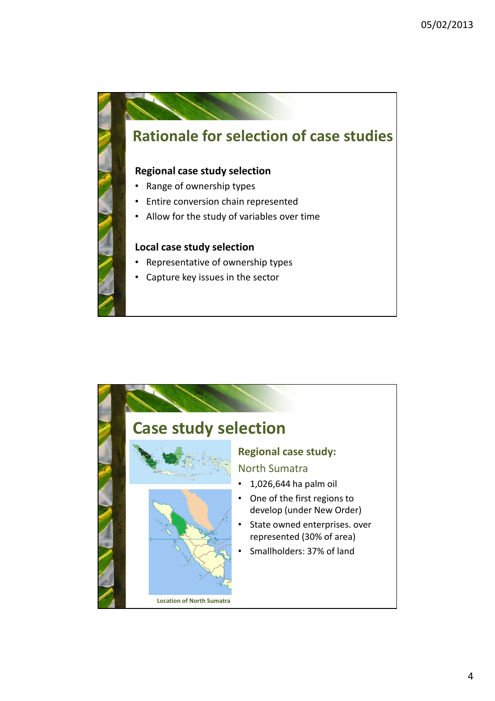

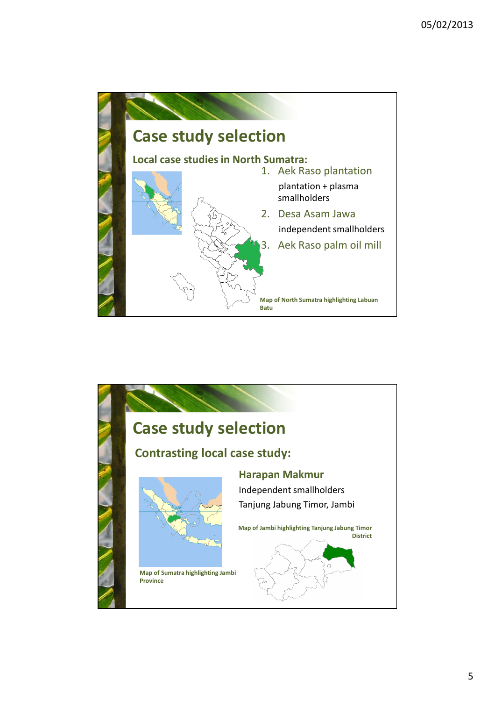

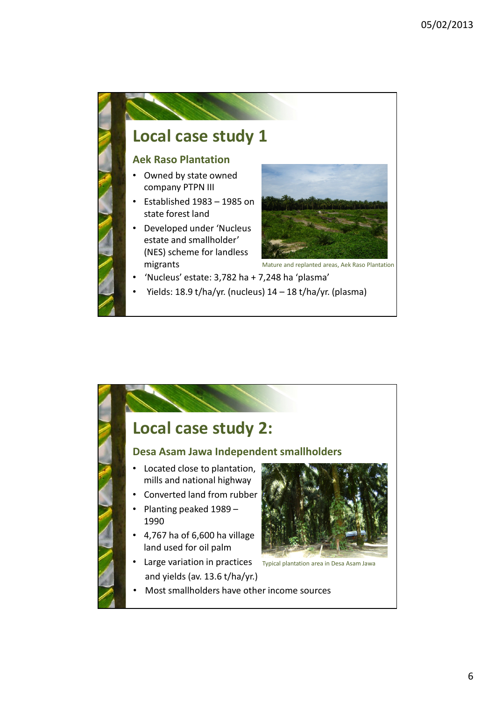

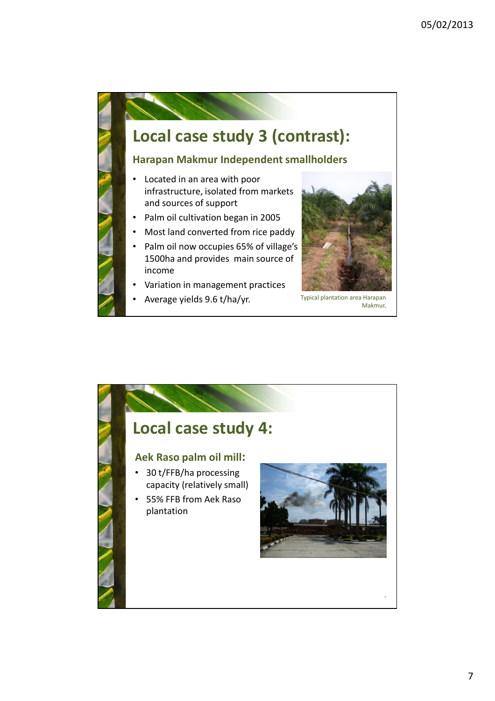

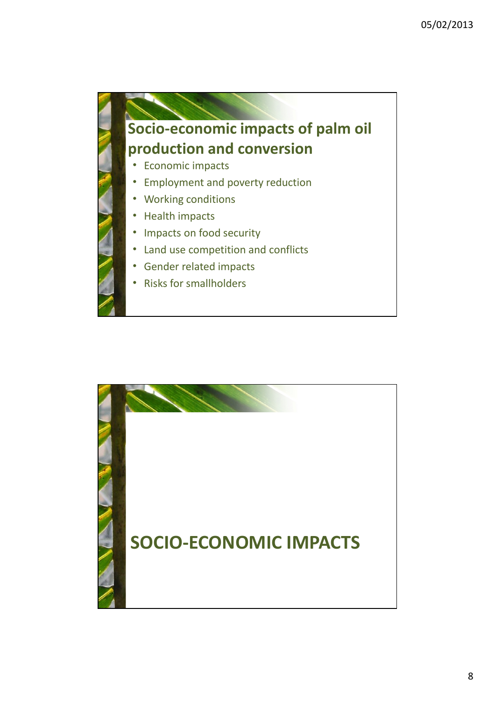

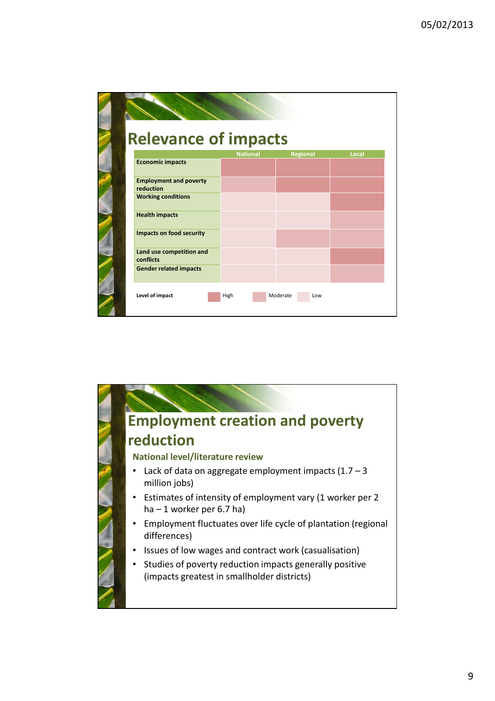| <b>Relevance of impacts</b>                |                 |                 |       |
|--------------------------------------------|-----------------|-----------------|-------|
|                                            | <b>National</b> | <b>Regional</b> | Local |
| <b>Economic impacts</b>                    |                 |                 |       |
|                                            |                 |                 |       |
| <b>Employment and poverty</b><br>reduction |                 |                 |       |
| <b>Working conditions</b>                  |                 |                 |       |
|                                            |                 |                 |       |
| <b>Health impacts</b>                      |                 |                 |       |
|                                            |                 |                 |       |
| <b>Impacts on food security</b>            |                 |                 |       |
|                                            |                 |                 |       |
| Land use competition and                   |                 |                 |       |
| conflicts                                  |                 |                 |       |
| <b>Gender related impacts</b>              |                 |                 |       |
|                                            |                 |                 |       |

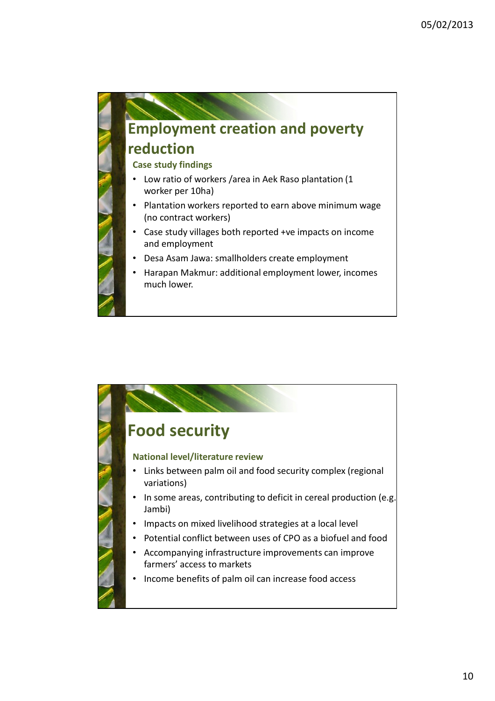

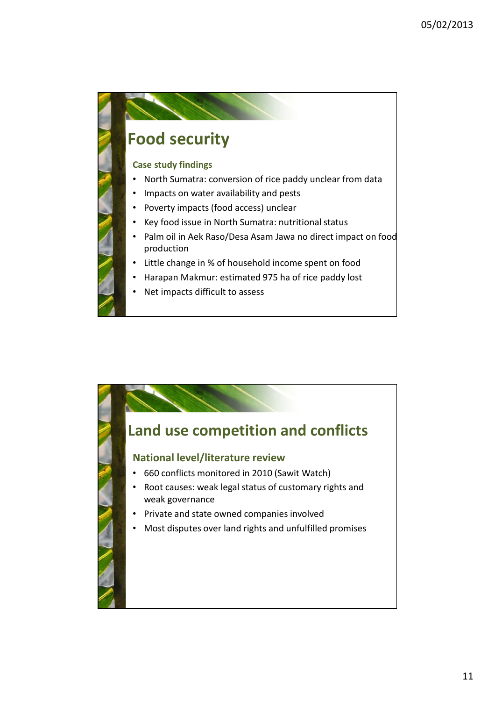